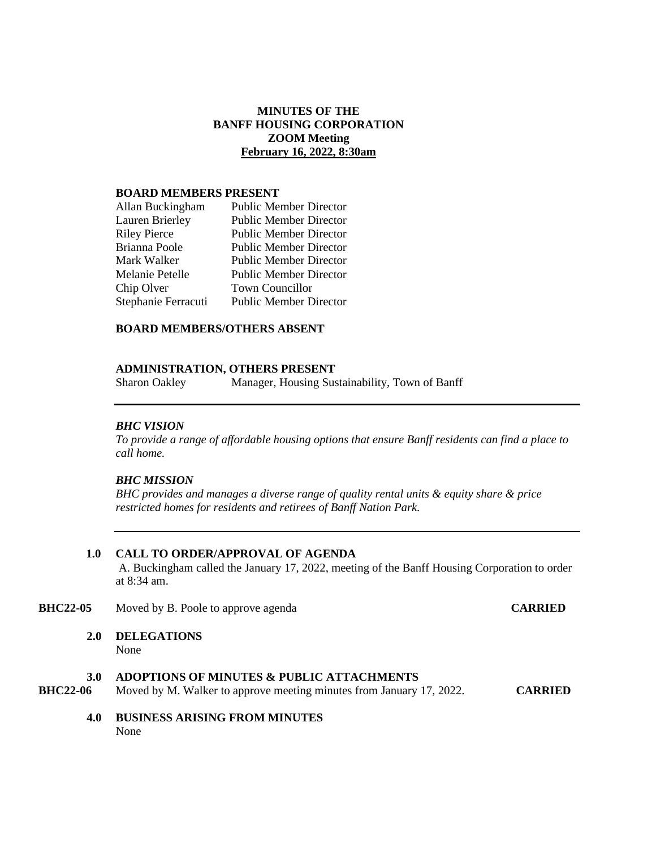# **MINUTES OF THE BANFF HOUSING CORPORATION ZOOM Meeting February 16, 2022, 8:30am**

### **BOARD MEMBERS PRESENT**

| <b>Public Member Director</b> |
|-------------------------------|
| <b>Public Member Director</b> |
| <b>Public Member Director</b> |
| <b>Public Member Director</b> |
| <b>Public Member Director</b> |
| <b>Public Member Director</b> |
| Town Councillor               |
| <b>Public Member Director</b> |
|                               |

### **BOARD MEMBERS/OTHERS ABSENT**

### **ADMINISTRATION, OTHERS PRESENT**

Sharon Oakley Manager, Housing Sustainability, Town of Banff

### *BHC VISION*

*To provide a range of affordable housing options that ensure Banff residents can find a place to call home.*

### *BHC MISSION*

*BHC provides and manages a diverse range of quality rental units & equity share & price restricted homes for residents and retirees of Banff Nation Park.*

## **1.0 CALL TO ORDER/APPROVAL OF AGENDA**

A. Buckingham called the January 17, 2022, meeting of the Banff Housing Corporation to order at 8:34 am.

- **BHC22-05** Moved by B. Poole to approve agenda **CARRIED**
	- **2.0 DELEGATIONS** None

**3.0 ADOPTIONS OF MINUTES & PUBLIC ATTACHMENTS**<br>**BHC22-06** Moved by M. Walker to approve meeting minutes from January **BHC22.** Moved by M. Walker to approve meeting minutes from January 17, 2022. **CARRIED** 

**4.0 BUSINESS ARISING FROM MINUTES** None when the contract of the contract of the contract of the contract of the contract of the contract of the contract of the contract of the contract of the contract of the contract of the contract of the contract of the